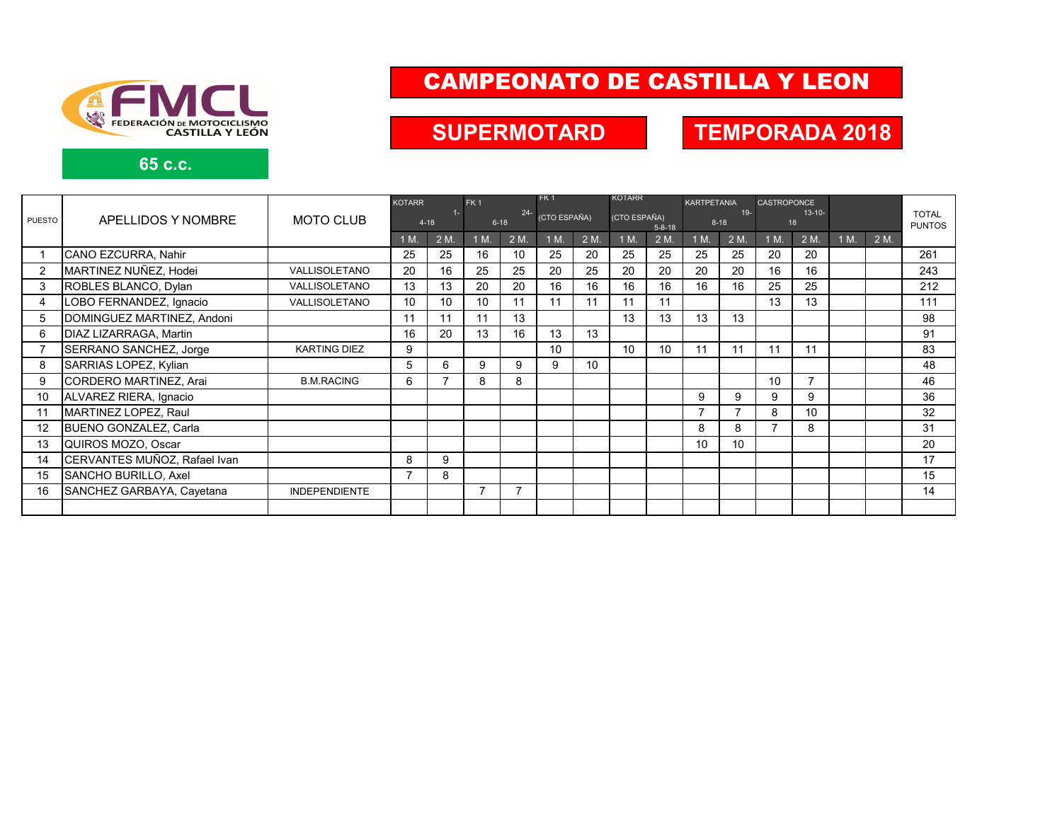

**65 c.c.**

# CAMPEONATO DE CASTILLA Y LEON

## **SUPERMOTARD TEMPORADA 2018**

|                | APELLIDOS Y NOMBRE           | <b>MOTO CLUB</b>     | <b>KOTARR</b>     |      | FK <sub>1</sub>    |      | FK <sub>1</sub> |      | <b>KOTARR</b>                |      | <b>KARTPETANIA</b> |      | <b>CASTROPONCE</b> |      |      |      |                               |
|----------------|------------------------------|----------------------|-------------------|------|--------------------|------|-----------------|------|------------------------------|------|--------------------|------|--------------------|------|------|------|-------------------------------|
| <b>PUESTO</b>  |                              |                      | $1 -$<br>$4 - 18$ |      | $24 -$<br>$6 - 18$ |      | (CTO ESPAÑA)    |      | (CTO ESPAÑA)<br>$5 - 8 - 18$ |      | $19 -$<br>$8 - 18$ |      | $13 - 10 -$<br>18  |      |      |      | <b>TOTAL</b><br><b>PUNTOS</b> |
|                |                              |                      | 1 M.              | 2 M. | 1 M.               | 2 M. | 1 M.            | 2 M. | 1 M                          | 2 M. | 1 M.               | 2 M. | 1 M.               | 2 M. | 1 M. | 2 M. |                               |
|                | CANO EZCURRA, Nahir          |                      | 25                | 25   | 16                 | 10   | 25              | 20   | 25                           | 25   | 25                 | 25   | 20                 | 20   |      |      | 261                           |
| $\overline{2}$ | MARTINEZ NUÑEZ, Hodei        | VALLISOLETANO        | 20                | 16   | 25                 | 25   | 20              | 25   | 20                           | 20   | 20                 | 20   | 16                 | 16   |      |      | 243                           |
| 3              | ROBLES BLANCO, Dylan         | VALLISOLETANO        | 13                | 13   | 20                 | 20   | 16              | 16   | 16                           | 16   | 16                 | 16   | 25                 | 25   |      |      | 212                           |
| 4              | LOBO FERNANDEZ, Ignacio      | VALLISOLETANO        | 10                | 10   | 10                 | 11   | 11              | 11   | 11                           | 11   |                    |      | 13                 | 13   |      |      | 111                           |
| 5              | DOMINGUEZ MARTINEZ, Andoni   |                      | 11                | 11   | 11                 | 13   |                 |      | 13                           | 13   | 13                 | 13   |                    |      |      |      | 98                            |
| 6              | DIAZ LIZARRAGA, Martin       |                      | 16                | 20   | 13                 | 16   | 13              | 13   |                              |      |                    |      |                    |      |      |      | 91                            |
|                | SERRANO SANCHEZ, Jorge       | <b>KARTING DIEZ</b>  | 9                 |      |                    |      | 10              |      | 10                           | 10   | 11                 | 11   | 11                 | 11   |      |      | 83                            |
| 8              | SARRIAS LOPEZ, Kylian        |                      | 5                 | 6    | 9                  | 9    | 9               | 10   |                              |      |                    |      |                    |      |      |      | 48                            |
| 9              | CORDERO MARTINEZ, Arai       | <b>B.M.RACING</b>    | 6                 |      | 8                  | 8    |                 |      |                              |      |                    |      | 10 <sup>1</sup>    |      |      |      | 46                            |
| 10             | ALVAREZ RIERA, Ignacio       |                      |                   |      |                    |      |                 |      |                              |      | 9                  | 9    | 9                  | 9    |      |      | 36                            |
| 11             | MARTINEZ LOPEZ, Raul         |                      |                   |      |                    |      |                 |      |                              |      | $\overline{7}$     |      | 8                  | 10   |      |      | 32                            |
| 12             | BUENO GONZALEZ, Carla        |                      |                   |      |                    |      |                 |      |                              |      | 8                  | 8    | $\overline{ }$     | 8    |      |      | 31                            |
| 13             | QUIROS MOZO, Oscar           |                      |                   |      |                    |      |                 |      |                              |      | 10 <sup>1</sup>    | 10   |                    |      |      |      | 20                            |
| 14             | CERVANTES MUÑOZ, Rafael Ivan |                      | 8                 | 9    |                    |      |                 |      |                              |      |                    |      |                    |      |      |      | 17                            |
| 15             | SANCHO BURILLO, Axel         |                      | ⇁                 | 8    |                    |      |                 |      |                              |      |                    |      |                    |      |      |      | 15                            |
| 16             | SANCHEZ GARBAYA, Cayetana    | <b>INDEPENDIENTE</b> |                   |      |                    | 7    |                 |      |                              |      |                    |      |                    |      |      |      | 14                            |
|                |                              |                      |                   |      |                    |      |                 |      |                              |      |                    |      |                    |      |      |      |                               |